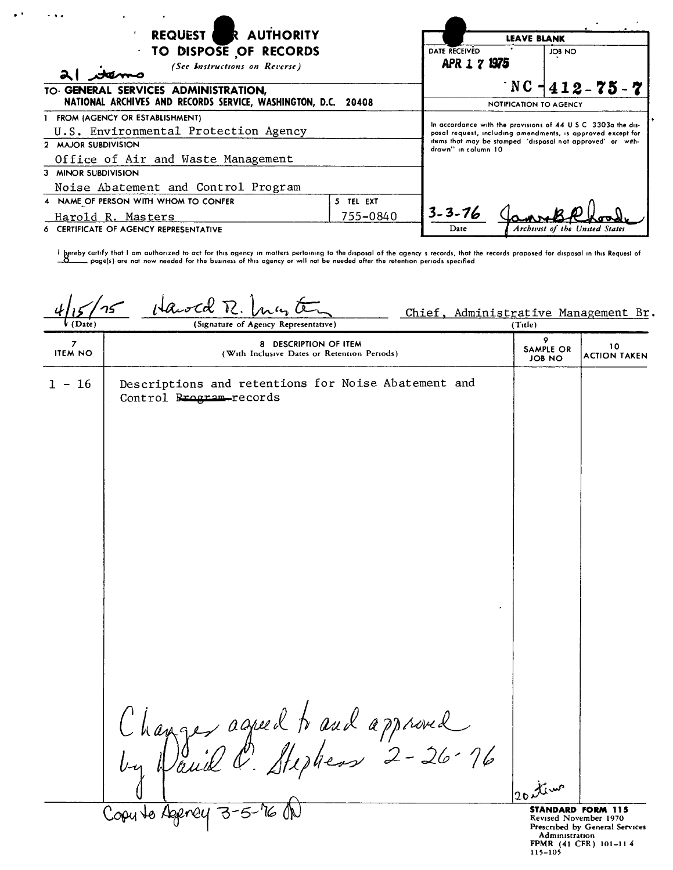| .<br>REQUEST R AUTHORITY<br><b>TO DISPOSE OF RECORDS</b><br>(See Instructions on Reverse)<br>TO. GENERAL SERVICES ADMINISTRATION, |           | <b>LEAVE BLANK</b><br>DATE RECEIVED<br>JOB NO<br>APR 1 7 1975<br>$\top$ NC $\neg$ 412 – 75 – 7                                                                                                                    |                        |                                |
|-----------------------------------------------------------------------------------------------------------------------------------|-----------|-------------------------------------------------------------------------------------------------------------------------------------------------------------------------------------------------------------------|------------------------|--------------------------------|
| NATIONAL ARCHIVES AND RECORDS SERVICE, WASHINGTON, D.C. 20408                                                                     |           |                                                                                                                                                                                                                   | NOTIFICATION TO AGENCY |                                |
| 1 FROM (AGENCY OR ESTABLISHMENT)                                                                                                  |           |                                                                                                                                                                                                                   |                        |                                |
| U.S. Environmental Protection Agency                                                                                              |           | In accordance with the provisions of 44 U.S.C. 3303a the dis-<br>posal request, including amendments, is approved except for<br>items that may be stamped "disposal not approved" or with-<br>drawn" in column 10 |                        |                                |
| 2 MAJOR SUBDIVISION                                                                                                               |           |                                                                                                                                                                                                                   |                        |                                |
| Office of Air and Waste Management                                                                                                |           |                                                                                                                                                                                                                   |                        |                                |
| 3 MINOR SUBDIVISION                                                                                                               |           |                                                                                                                                                                                                                   |                        |                                |
| Noise Abatement and Control Program                                                                                               |           |                                                                                                                                                                                                                   |                        |                                |
| 4 NAME OF PERSON WITH WHOM TO CONFER                                                                                              | 5 TEL EXT |                                                                                                                                                                                                                   |                        |                                |
| 755-0840<br>Harold R. Masters                                                                                                     |           | $3 - 3 - 76$                                                                                                                                                                                                      |                        |                                |
| CERTIFICATE OF AGENCY REPRESENTATIVE                                                                                              |           | Date                                                                                                                                                                                                              |                        | Archivist of the United States |

·.

l bereby certify that I am authorized to act for this agency in matters pertoining to the disposal of the agency s records, that the records proposed for disposal in this Request of<br>\_O\_\_\_\_ page(s) are not now needed for th

 $1\sqrt{R_{tot}}$ Chief, Administrative Management Br.<br> $rac{(The)}{(The)}$  $(Direct)$ (Signature of Agency Representative) P 8 DESCRIPTION OF ITEM 8 10<br>10 ITEM NO 10 ITEM (With Inclusive Dates or Retention Periods) JOB NO ACTION TAKEN 1 - 16 Descriptions and retentions for Noise Abatement and Control <del>Program </del>records Changer agrée à traval approved Derey 3-5 **STANDARD FORM 115** ReVISed November 1970 Prescribed by General Services

Administration FPMR (41 CFR) 101-114 115-105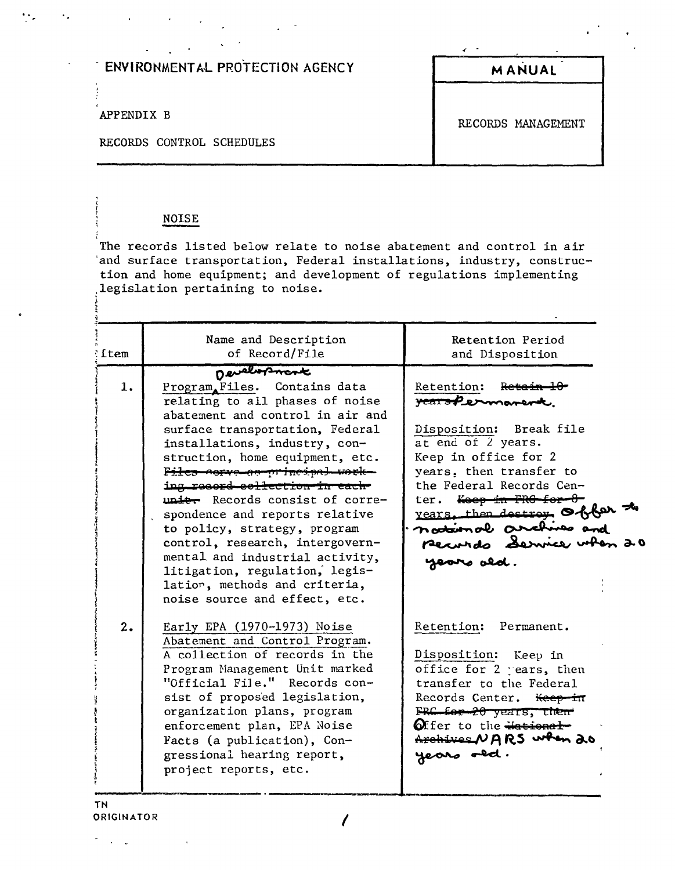APPENDIX B

RECORDS CONTROL SCHEDULES

### **MANUAL**

RECORDS MANAGEMENT

#### **NOISE**

The records listed below relate to noise abatement and control in air and surface transportation, Federal installations, industry, construction and home equipment; and development of regulations implementing<br>legislation pertaining to noise.

| <b>ftem</b> | Name and Description<br>of Record/File                                                                                                                                                                                                                                                                                                                                                                                                                                                                                                     | Retention Period<br>and Disposition                                                                                                                                                                                                                                                       |
|-------------|--------------------------------------------------------------------------------------------------------------------------------------------------------------------------------------------------------------------------------------------------------------------------------------------------------------------------------------------------------------------------------------------------------------------------------------------------------------------------------------------------------------------------------------------|-------------------------------------------------------------------------------------------------------------------------------------------------------------------------------------------------------------------------------------------------------------------------------------------|
| 1.          | Development<br>Program Files. Contains data<br>relating to all phases of noise<br>abatement and control in air and<br>surface transportation, Federal<br>installations, industry, con-<br>struction, home equipment, etc.<br>Files corve as principal work-<br>ing record collection in each<br>unit. Records consist of corre-<br>spondence and reports relative<br>to policy, strategy, program<br>control, research, intergovern-<br>mental and industrial activity,<br>litigation, regulation, legis-<br>latior, methods and criteria, | Retention: Retain<br>rearspermanent.<br>Disposition: Break file<br>at end of 2 years.<br>Keep in office for 2<br>years, then transfer to<br>the Federal Records Cen-<br>ter. Keep in FRG-<br>years, then destroy offer<br>national archives and<br>pecurido Service when 20<br>years ald. |
| 2.          | noise source and effect, etc.<br>Early EPA (1970-1973) Noise<br>Abatement and Control Program.<br>A collection of records in the<br>Program Management Unit marked<br>"Official File." Records con-<br>sist of proposed legislation,<br>organization plans, program<br>enforcement plan, EPA Noise<br>Facts (a publication), Con-<br>gressional hearing report,<br>project reports, etc.                                                                                                                                                   | Retention: Permanent.<br>Disposition: Keep in<br>office for 2 rears, then<br>transfer to the Federal<br>Records Center. <del>Keep in</del><br>FRC for 20 years, then<br>Offer to the <del>Mational</del><br>Archives NARS when 20<br>years old.                                           |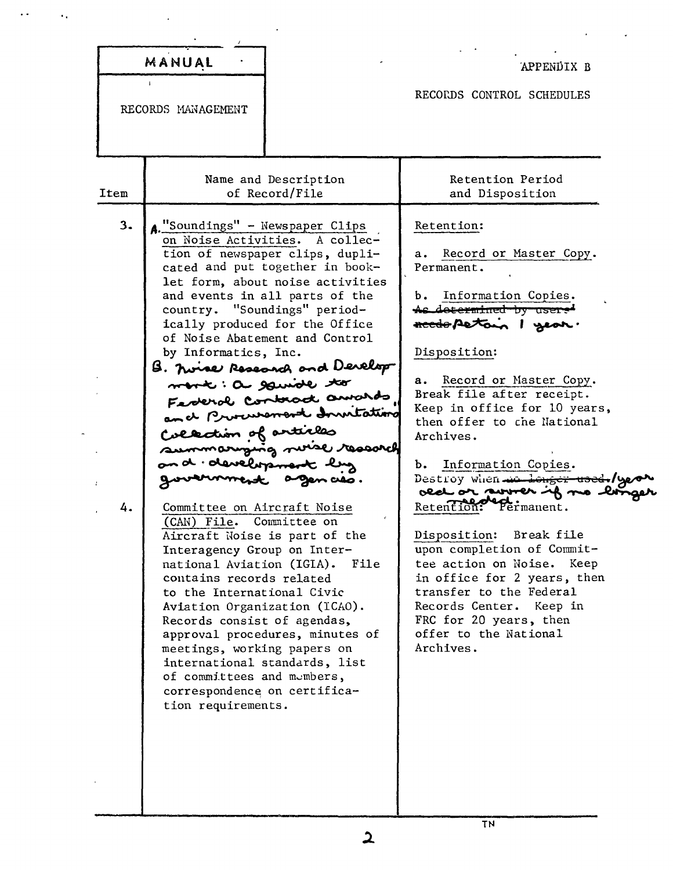|          | MANUAL                                                                                                                                                                                                                                                                                                                                                                                                                                                                                                                                                                                                                                                                                                                                                                                                                                                                                                                                                                                                                                                | APPENDIX B                                                                                                                                                                                                                                                                                                                                                                                                                                                                                                                                                                                                                                                        |
|----------|-------------------------------------------------------------------------------------------------------------------------------------------------------------------------------------------------------------------------------------------------------------------------------------------------------------------------------------------------------------------------------------------------------------------------------------------------------------------------------------------------------------------------------------------------------------------------------------------------------------------------------------------------------------------------------------------------------------------------------------------------------------------------------------------------------------------------------------------------------------------------------------------------------------------------------------------------------------------------------------------------------------------------------------------------------|-------------------------------------------------------------------------------------------------------------------------------------------------------------------------------------------------------------------------------------------------------------------------------------------------------------------------------------------------------------------------------------------------------------------------------------------------------------------------------------------------------------------------------------------------------------------------------------------------------------------------------------------------------------------|
|          | RECORDS MANAGEMENT                                                                                                                                                                                                                                                                                                                                                                                                                                                                                                                                                                                                                                                                                                                                                                                                                                                                                                                                                                                                                                    | RECORDS CONTROL SCHEDULES                                                                                                                                                                                                                                                                                                                                                                                                                                                                                                                                                                                                                                         |
| Item     | Name and Description<br>of Record/File                                                                                                                                                                                                                                                                                                                                                                                                                                                                                                                                                                                                                                                                                                                                                                                                                                                                                                                                                                                                                | Retention Period<br>and Disposition                                                                                                                                                                                                                                                                                                                                                                                                                                                                                                                                                                                                                               |
| 3.<br>4. | A. "Soundings" - Newspaper Clips<br>on Noise Activities. A collec-<br>tion of newspaper clips, dupli-<br>cated and put together in book-<br>let form, about noise activities<br>and events in all parts of the<br>country. "Soundings" period-<br>ically produced for the Office<br>of Noise Abatement and Control<br>by Informatics, Inc.<br>B. Nince Research and Develop<br>mont: a gainote to<br>Federal Contract amards<br>and Procurement Invitation<br>Collection of articles<br>summarying noise research<br>on d. development luz<br>government agences.<br>Committee on Aircraft Noise<br>(CAN) File.<br>Committee on<br>Aircraft Noise is part of the<br>Interagency Group on Inter-<br>national Aviation (IGIA).<br>File<br>contains records related<br>to the International Civic<br>Aviation Organization (ICAO).<br>Records consist of agendas,<br>approval procedures, minutes of<br>meetings, working papers on<br>international standards, list<br>of committees and mumbers,<br>correspondence on certifica-<br>tion requirements. | Retention:<br>Record or Master Copy.<br>а. –<br>Permanent.<br>b. Information Copies.<br><del>As determined by user."</del><br>reedspetom I gear.<br>Disposition:<br>Record or Master Copy.<br>а.<br>Break file after receipt.<br>Keep in office for 10 years,<br>then offer to the National<br>Archives.<br>Information Copies.<br>b.<br>Destroy when we longer used./y<br>old or somer if no<br>ermanent.<br>keten<br>Break file<br>Disposition:<br>upon completion of Commit-<br>tee action on Noise. Keep<br>in office for 2 years, then<br>transfer to the Federal<br>Records Center. Keep in<br>FRC for 20 years, then<br>offer to the National<br>Archives. |
|          |                                                                                                                                                                                                                                                                                                                                                                                                                                                                                                                                                                                                                                                                                                                                                                                                                                                                                                                                                                                                                                                       | <b>TN</b>                                                                                                                                                                                                                                                                                                                                                                                                                                                                                                                                                                                                                                                         |

 $\ddot{\phantom{1}}$  .

 $\hat{\mathcal{C}}_k$ 

 $\ddot{\phantom{0}}$ 

 $\mathcal{L}^{\pm}$ 

 $\hat{\mathcal{A}}$ 

ä,

 $\overline{\mathbf{c}}$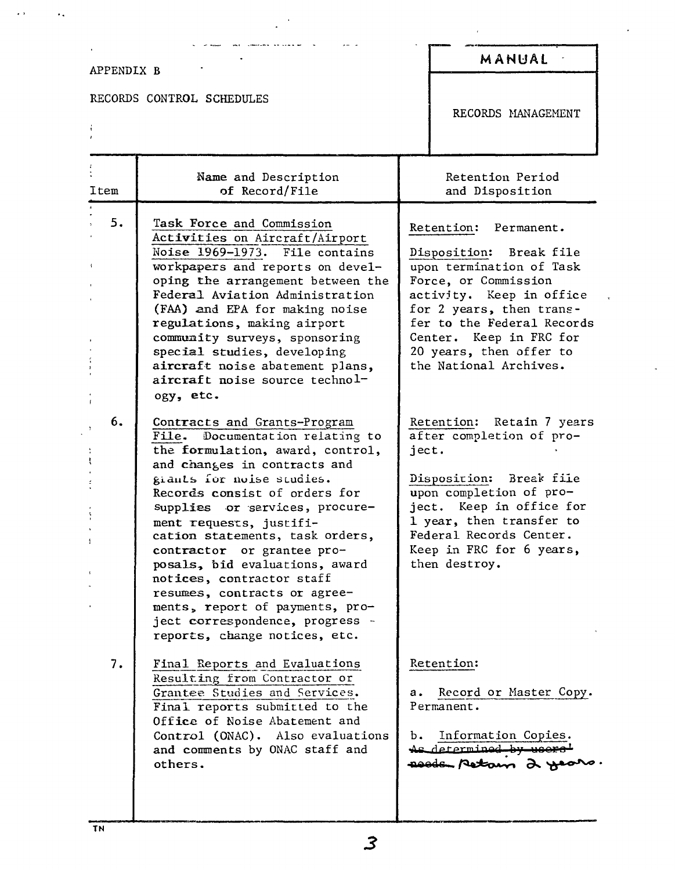#### APPENDIX B

 $\frac{1}{2}$ 

 $\ddot{\phantom{1}}$ 

 $\ddot{\phantom{a}}$  .

RECORDS CONTROL SCHEDULES

was considered an ope

 $\ddot{\phantom{0}}$ 

## MANUAL

RECORDS MANAGEMENT

| Item | Name and Description<br>of Record/File                                                                                                                                                                                                                                                                                                                                                                                                                                                                                                   | Retention Period<br>and Disposition                                                                                                                                                                                                                                        |
|------|------------------------------------------------------------------------------------------------------------------------------------------------------------------------------------------------------------------------------------------------------------------------------------------------------------------------------------------------------------------------------------------------------------------------------------------------------------------------------------------------------------------------------------------|----------------------------------------------------------------------------------------------------------------------------------------------------------------------------------------------------------------------------------------------------------------------------|
| 5.   | Task Force and Commission<br>Activities on Aircraft/Airport<br>Noise 1969-1973. File contains<br>workpapers and reports on devel-<br>oping the arrangement between the<br>Federal Aviation Administration<br>(FAA) and EPA for making noise<br>regulations, making airport<br>community surveys, sponsoring<br>special studies, developing<br>aircraft noise abatement plans,<br>aircraft noise source technol-<br>ogy, etc.                                                                                                             | Retention: Permanent.<br>Disposition: Break file<br>upon termination of Task<br>Force, or Commission<br>activity. Keep in office<br>for 2 years, then trans-<br>fer to the Federal Records<br>Center. Keep in FRC for<br>20 years, then offer to<br>the National Archives. |
| 6.   | Contracts and Grants-Program<br>Documentation relating to<br>File.<br>the formulation, award, control,<br>and changes in contracts and<br>giants for noise studies.<br>Records consist of orders for<br>supplies or services, procure-<br>ment requests, justifi-<br>cation statements, task orders,<br>contractor or grantee pro-<br>posals, bid evaluations, award<br>notices, contractor staff<br>resumes, contracts or agree-<br>ments, report of payments, pro-<br>ject correspondence, progress -<br>reports, change notices, etc. | Retention: Retain 7 years<br>after completion of pro-<br>ject.<br>Disposition: Break file<br>upon completion of pro-<br>ject. Keep in office for<br>1 year, then transfer to<br>Federal Records Center.<br>Keep in FRC for 6 years,<br>then destroy.                       |
| 7.   | Final Reports and Evaluations<br>Resulting from Contractor or<br>Grantee Studies and Services.<br>Final reports submitted to the<br>Office of Noise Abatement and<br>Control (ONAC). Also evaluations<br>and comments by ONAC staff and<br>others.                                                                                                                                                                                                                                                                                       | Retention:<br>Record or Master Copy.<br>а.<br>Permanent.<br>Information Copies.<br>ь.<br>As determined by users'<br>assis petam 2 years.                                                                                                                                   |

 $\mathbf{3}$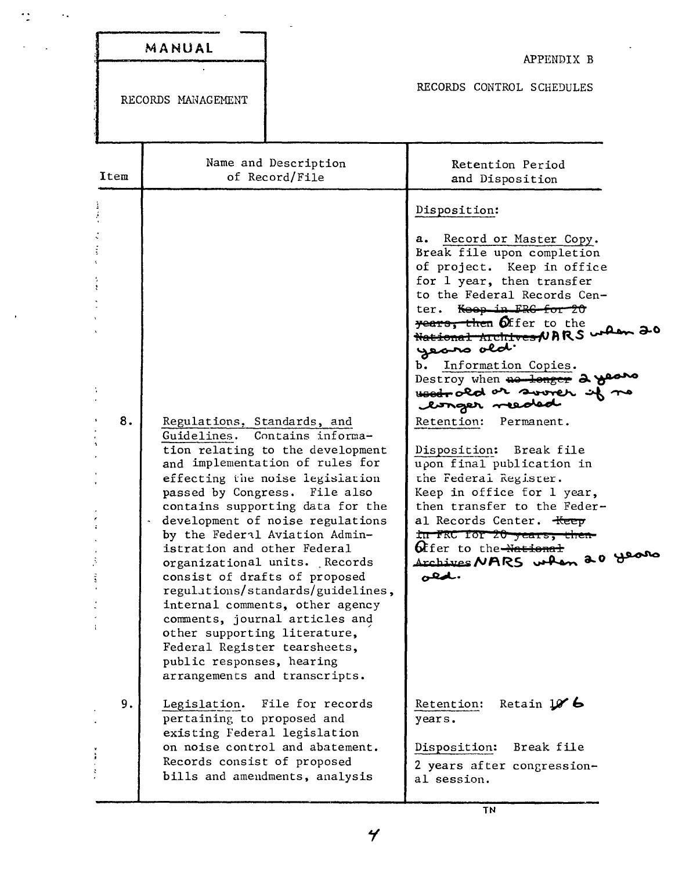| MANUAL |  |
|--------|--|

 $\sim$   $\sim$ 

 $\ddot{\cdot}$ 

APPENDIX B

RECORDS HANAGEMENT

RECORDS CONTROL SCHEDULES

| Item | Name and Description<br>of Record/File                                                                                                                                                                                                                                                                                                                                                                                                                                                                                                                                                                                                                           | Retention Period<br>and Disposition                                                                                                                                                                                                                                                                                                                                                                                                                                                                                                                                                                                                                                                                           |
|------|------------------------------------------------------------------------------------------------------------------------------------------------------------------------------------------------------------------------------------------------------------------------------------------------------------------------------------------------------------------------------------------------------------------------------------------------------------------------------------------------------------------------------------------------------------------------------------------------------------------------------------------------------------------|---------------------------------------------------------------------------------------------------------------------------------------------------------------------------------------------------------------------------------------------------------------------------------------------------------------------------------------------------------------------------------------------------------------------------------------------------------------------------------------------------------------------------------------------------------------------------------------------------------------------------------------------------------------------------------------------------------------|
| 8.   | Regulations, Standards, and<br>Contains informa-<br>Guidelines.<br>tion relating to the development<br>and implementation of rules for<br>effecting the noise legislation<br>passed by Congress.<br>File also<br>contains supporting data for the<br>development of noise regulations<br>by the Federil Aviation Admin-<br>istration and other Federal<br>organizational units. Records<br>consist of drafts of proposed<br>regulations/standards/guidelines,<br>internal comments, other agency<br>comments, journal articles and<br>other supporting literature,<br>Federal Register tearsheets,<br>public responses, hearing<br>arrangements and transcripts. | Disposition:<br>a. Record or Master Copy.<br>Break file upon completion<br>of project. Keep in office<br>for 1 year, then transfer<br>to the Federal Records Cen-<br>ter. Keep in FRG for 20<br>years, then Offer to the<br><u>National Archives</u> NARS when 20<br>years old.<br>b. Information Copies.<br>Destroy when no longer 2 y<br>Hood or sover s<br>longer reeded<br>Retention: Permanent.<br>Disposition: Break file<br>upon final publication in<br>the Federal Register.<br>Keep in office for 1 year,<br>then transfer to the Feder-<br>al Records Center. <del>Keep</del><br>in FRC for 20 years, then-<br><b>6</b> ffer to the <del>-National</del><br>Archives NARS when 20 years<br>.بالهفن |
| 9.   | File for records<br>Legislation.<br>pertaining to proposed and<br>existing Federal legislation<br>on noise control and abatement.<br>Records consist of proposed                                                                                                                                                                                                                                                                                                                                                                                                                                                                                                 | Retain $106$<br>Retention:<br>years.<br>Break file<br>Disposition:<br>2 years after congression-                                                                                                                                                                                                                                                                                                                                                                                                                                                                                                                                                                                                              |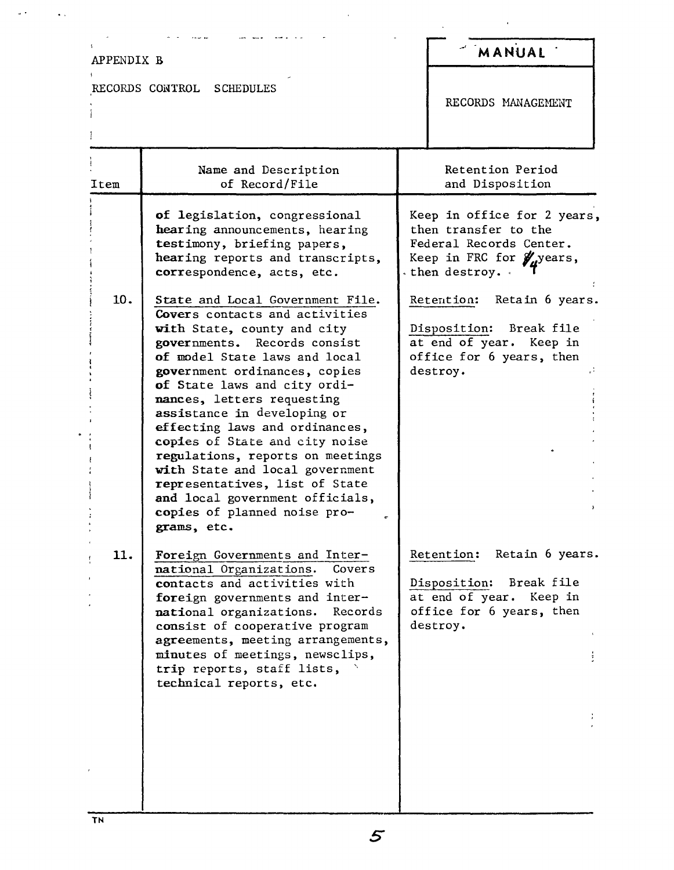# APPENDIX B

 $\mathbf{I}$ 

 $\overline{a}$ 

 $\Delta$  .

 $\sim 10^{11}$  km  $^{-1}$ 

RECORDS CONTROL SCHEDULES

## **-' MANUAL**

RECORDS MANAGEMENT

| Item | Name and Description<br>of Record/File                                                                                                                                                                                                                                                                                                                                                                                                                                                                                                                          | Retention Period<br>and Disposition                                                                                                  |
|------|-----------------------------------------------------------------------------------------------------------------------------------------------------------------------------------------------------------------------------------------------------------------------------------------------------------------------------------------------------------------------------------------------------------------------------------------------------------------------------------------------------------------------------------------------------------------|--------------------------------------------------------------------------------------------------------------------------------------|
|      | of legislation, congressional<br>hearing announcements, hearing<br>testimony, briefing papers,<br>hearing reports and transcripts,<br>correspondence, acts, etc.                                                                                                                                                                                                                                                                                                                                                                                                | Keep in office for 2 years,<br>then transfer to the<br>Federal Records Center.<br>Keep in FRC for <i>y</i> , years,<br>then destroy. |
| 10.  | State and Local Government File.<br>Covers contacts and activities<br>with State, county and city<br>governments. Records consist<br>of model State laws and local<br>government ordinances, copies<br>of State laws and city ordi-<br>nances, letters requesting<br>assistance in developing or<br>effecting laws and ordinances,<br>copies of State and city noise<br>regulations, reports on meetings<br>with State and local government<br>representatives, list of State<br>and local government officials,<br>copies of planned noise pro-<br>grams, etc. | Retention: Retain 6 years.<br>Disposition: Break file<br>at end of year. Keep in<br>office for 6 years, then<br>destroy.             |
| 11.  | Foreign Governments and Inter-<br>national Organizations.<br>Covers<br>contacts and activities with<br>foreign governments and inter-<br>national organizations.<br>Records<br>consist of cooperative program<br>agreements, meeting arrangements,<br>minutes of meetings, newsclips,<br>trip reports, staff lists,<br>technical reports, etc.                                                                                                                                                                                                                  | Retention: Retain 6 years.<br>Disposition: Break file<br>at end of year. Keep in<br>office for 6 years, then<br>destroy.             |

 $\mathbf{r}$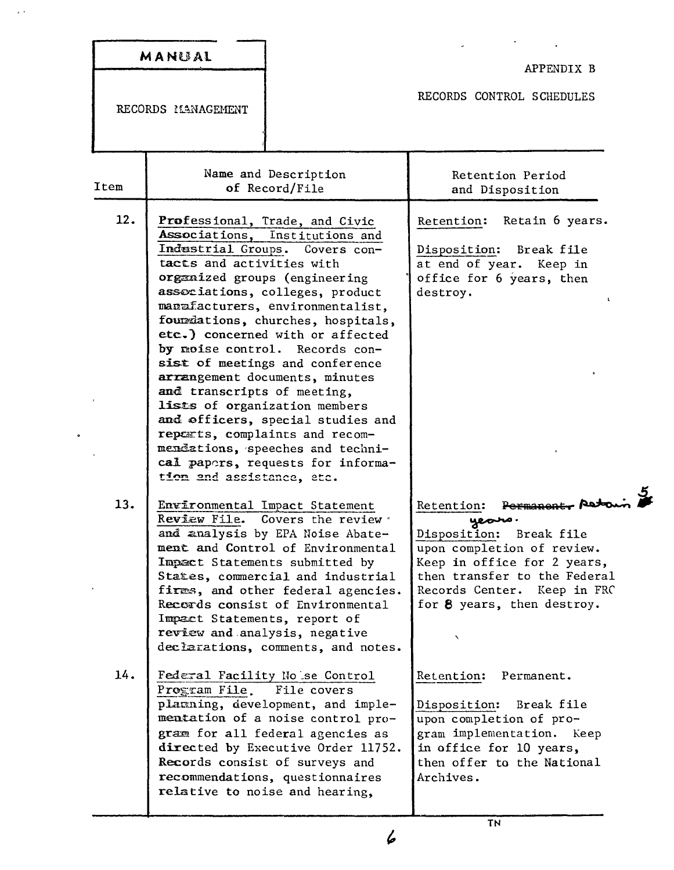|      | MANUAL                                                                                                                                                                                                                                                                                                                                                                                                                                                                                                                                                                                                                                                                 | APPENDIX B                                                                                                                                                                                                                        |
|------|------------------------------------------------------------------------------------------------------------------------------------------------------------------------------------------------------------------------------------------------------------------------------------------------------------------------------------------------------------------------------------------------------------------------------------------------------------------------------------------------------------------------------------------------------------------------------------------------------------------------------------------------------------------------|-----------------------------------------------------------------------------------------------------------------------------------------------------------------------------------------------------------------------------------|
|      | RECORDS MANAGEMENT                                                                                                                                                                                                                                                                                                                                                                                                                                                                                                                                                                                                                                                     | RECORDS CONTROL SCHEDULES                                                                                                                                                                                                         |
| Item | Name and Description<br>of Record/File                                                                                                                                                                                                                                                                                                                                                                                                                                                                                                                                                                                                                                 | Retention Period<br>and Disposition                                                                                                                                                                                               |
| 12.  | Professional, Trade, and Civic<br>Associations, Institutions and<br>Industrial Groups. Covers con-<br>tacts and activities with<br>organized groups (engineering<br>associations, colleges, product<br>manufacturers, environmentalist,<br>fourmiations, churches, hospitals,<br>etc.) concerned with or affected<br>by moise control. Records con-<br>sist of meetings and conference<br>arrangement documents, minutes<br>and transcripts of meeting,<br>lists of organization members<br>and officers, special studies and<br>repearts, complaints and recom-<br>mendations, speeches and techni-<br>cal papers, requests for informa-<br>tion and assistance, etc. | Retention: Retain 6 years.<br>Disposition: Break file<br>at end of year. Keep in<br>office for 6 years, then<br>destroy.<br>$\mathbf{r}_i$                                                                                        |
| 13.  | Environmental Impact Statement<br>Review File. Covers the review<br>and analysis by EPA Noise Abate-<br>ment and Control of Environmental<br>Impact Statements submitted by<br>States, commercial and industrial<br>firms, and other federal agencies.<br>Recerds consist of Environmental<br>Impact Statements, report of<br>review and analysis, negative<br>declarations, comments, and notes.                                                                                                                                                                                                                                                                      | Permanent - Retow<br>Retention:<br>yeono.<br>Disposition:<br>Break file<br>upon completion of review.<br>Keep in office for 2 years,<br>then transfer to the Federal<br>Records Center. Keep in FRC<br>for 8 years, then destroy. |
| 14.  | Federal Facility No se Control<br>Program File.<br>File covers<br>plarning, development, and imple-<br>mentation of a noise control pro-<br>gram for all federal agencies as<br>directed by Executive Order 11752.<br>Records consist of surveys and<br>recommendations, questionnaires<br>relative to noise and hearing,                                                                                                                                                                                                                                                                                                                                              | Retention:<br>Permanent.<br>Disposition:<br>Break file<br>upon completion of pro-<br>gram implementation. Keep<br>in office for 10 years,<br>then offer to the National<br>Archives.                                              |

 $\bar{\omega}$ 

 $\overline{6}$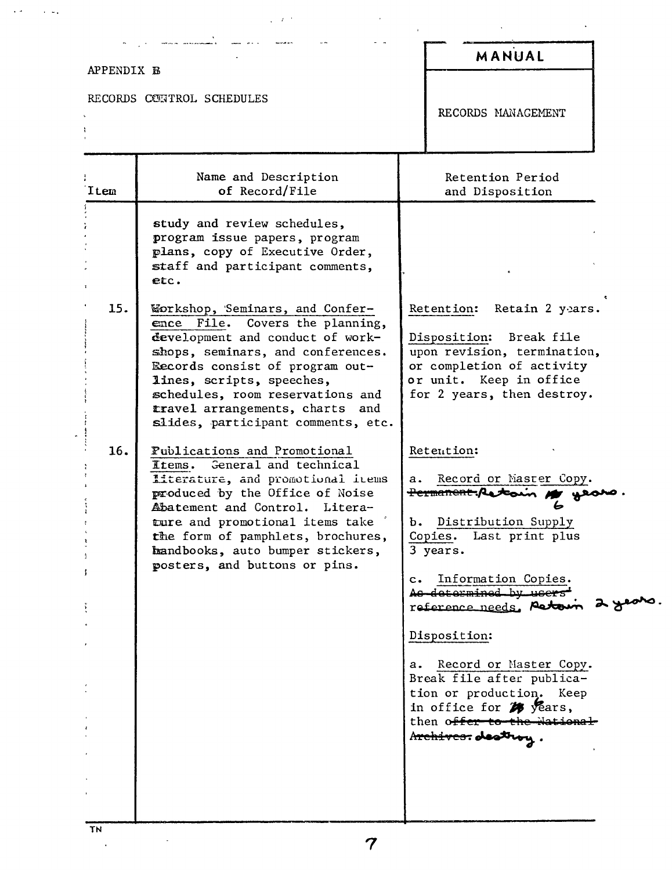#### MANUAL APPENDIX B RECORDS CONTROL SCHEDULES RECORDS MANAGEMENT Name and Description Retention Period of Record/File and Disposition Item study and review schedules. program issue papers, program plans, copy of Executive Order, staff and participant comments. etc.  $15.$ Workshop, 'Seminars, and Confer-Retention: Retain 2 years. ence File. Covers the planning, development and conduct of work-Disposition: Break file shops, seminars, and conferences. upon revision, termination, or completion of activity Eecords consist of program outor unit. Keep in office lines, scripts, speeches, schedules, room reservations and for 2 years, then destroy. travel arrangements, charts and slides, participant comments, etc. 16. Fublications and Promotional Retention: General and technical Items. Literature, and promotional items a. Record or Master Copy. produced by the Office of Noise **Permanent, Ast** Abatement and Control. Literature and promotional items take b. Distribution Supply the form of pamphlets, brochures, Copies. Last print plus handbooks, auto bumper stickers, 3 years. posters, and buttons or pins. Information Copies.  $c_{\bullet}$ As determined by users reference needs. Actoin Disposition: a. Record or Master Copy. Break file after publication or production. Keep in office for  $\mathcal{W}$  years, then offer to the National Archives. destroy.